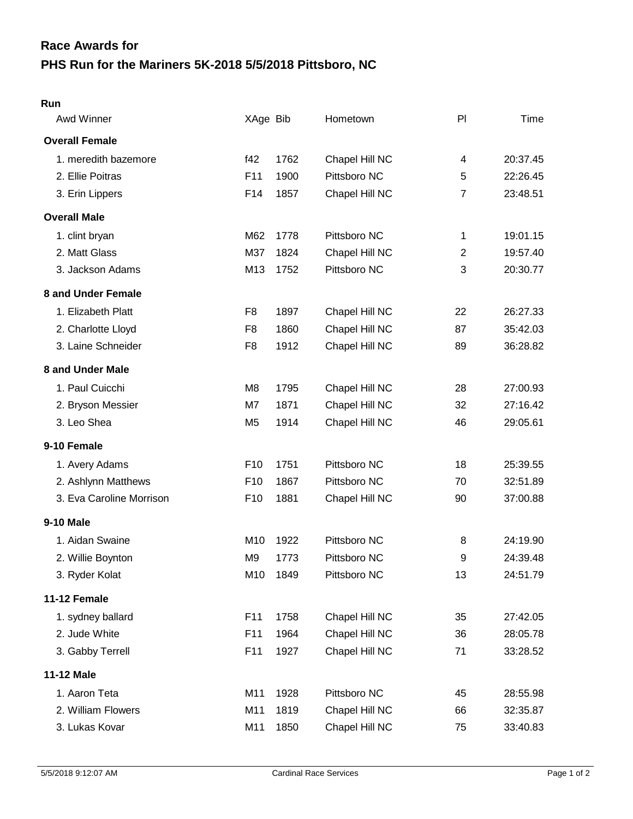## **PHS Run for the Mariners 5K-2018 5/5/2018 Pittsboro, NC Race Awards for**

## **Run**

| Awd Winner               | XAge Bib        |      | Hometown       | PI             | Time     |
|--------------------------|-----------------|------|----------------|----------------|----------|
| <b>Overall Female</b>    |                 |      |                |                |          |
| 1. meredith bazemore     | f42             | 1762 | Chapel Hill NC | 4              | 20:37.45 |
| 2. Ellie Poitras         | F11             | 1900 | Pittsboro NC   | 5              | 22:26.45 |
| 3. Erin Lippers          | F14             | 1857 | Chapel Hill NC | $\overline{7}$ | 23:48.51 |
| <b>Overall Male</b>      |                 |      |                |                |          |
| 1. clint bryan           | M62             | 1778 | Pittsboro NC   | 1              | 19:01.15 |
| 2. Matt Glass            | M37             | 1824 | Chapel Hill NC | $\overline{2}$ | 19:57.40 |
| 3. Jackson Adams         | M13             | 1752 | Pittsboro NC   | 3              | 20:30.77 |
| 8 and Under Female       |                 |      |                |                |          |
| 1. Elizabeth Platt       | F8              | 1897 | Chapel Hill NC | 22             | 26:27.33 |
| 2. Charlotte Lloyd       | F <sub>8</sub>  | 1860 | Chapel Hill NC | 87             | 35:42.03 |
| 3. Laine Schneider       | F <sub>8</sub>  | 1912 | Chapel Hill NC | 89             | 36:28.82 |
| 8 and Under Male         |                 |      |                |                |          |
| 1. Paul Cuicchi          | M8              | 1795 | Chapel Hill NC | 28             | 27:00.93 |
| 2. Bryson Messier        | M7              | 1871 | Chapel Hill NC | 32             | 27:16.42 |
| 3. Leo Shea              | M <sub>5</sub>  | 1914 | Chapel Hill NC | 46             | 29:05.61 |
| 9-10 Female              |                 |      |                |                |          |
| 1. Avery Adams           | F <sub>10</sub> | 1751 | Pittsboro NC   | 18             | 25:39.55 |
| 2. Ashlynn Matthews      | F <sub>10</sub> | 1867 | Pittsboro NC   | 70             | 32:51.89 |
| 3. Eva Caroline Morrison | F <sub>10</sub> | 1881 | Chapel Hill NC | 90             | 37:00.88 |
| <b>9-10 Male</b>         |                 |      |                |                |          |
| 1. Aidan Swaine          | M <sub>10</sub> | 1922 | Pittsboro NC   | 8              | 24:19.90 |
| 2. Willie Boynton        | M <sub>9</sub>  | 1773 | Pittsboro NC   | 9              | 24:39.48 |
| 3. Ryder Kolat           | M10             | 1849 | Pittsboro NC   | 13             | 24:51.79 |
| 11-12 Female             |                 |      |                |                |          |
| 1. sydney ballard        | F11             | 1758 | Chapel Hill NC | 35             | 27:42.05 |
| 2. Jude White            | F11             | 1964 | Chapel Hill NC | 36             | 28:05.78 |
| 3. Gabby Terrell         | F11             | 1927 | Chapel Hill NC | 71             | 33:28.52 |
| <b>11-12 Male</b>        |                 |      |                |                |          |
| 1. Aaron Teta            | M11             | 1928 | Pittsboro NC   | 45             | 28:55.98 |
| 2. William Flowers       | M11             | 1819 | Chapel Hill NC | 66             | 32:35.87 |
| 3. Lukas Kovar           | M11             | 1850 | Chapel Hill NC | 75             | 33:40.83 |